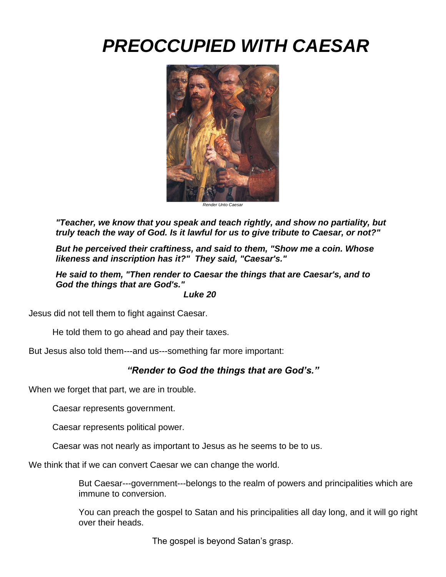# *PREOCCUPIED WITH CAESAR*



*Render Unto Caesar*

*"Teacher, we know that you speak and teach rightly, and show no partiality, but truly teach the way of God. Is it lawful for us to give tribute to Caesar, or not?"*

*But he perceived their craftiness, and said to them, "Show me a coin. Whose likeness and inscription has it?" They said, "Caesar's."*

*He said to them, "Then render to Caesar the things that are Caesar's, and to God the things that are God's."*

 *Luke 20*

Jesus did not tell them to fight against Caesar.

He told them to go ahead and pay their taxes.

But Jesus also told them---and us---something far more important:

## *"Render to God the things that are God's."*

When we forget that part, we are in trouble.

Caesar represents government.

Caesar represents political power.

Caesar was not nearly as important to Jesus as he seems to be to us.

We think that if we can convert Caesar we can change the world.

But Caesar---government---belongs to the realm of powers and principalities which are immune to conversion.

You can preach the gospel to Satan and his principalities all day long, and it will go right over their heads.

The gospel is beyond Satan's grasp.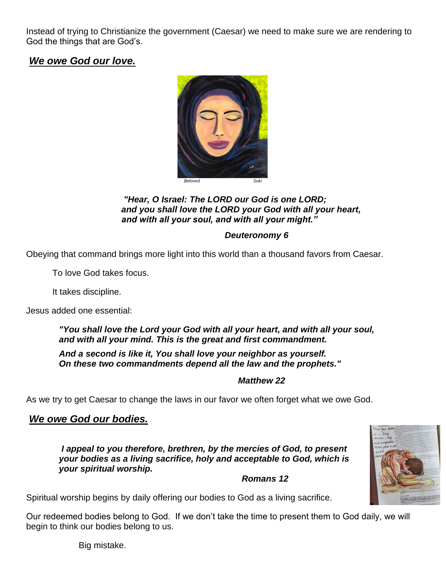Instead of trying to Christianize the government (Caesar) we need to make sure we are rendering to God the things that are God's.

# *We owe God our love.*



#### *"Hear, O Israel: The LORD our God is one LORD; and you shall love the LORD your God with all your heart, and with all your soul, and with all your might."*

### *Deuteronomy 6*

Obeying that command brings more light into this world than a thousand favors from Caesar.

To love God takes focus.

It takes discipline.

Jesus added one essential:

#### *"You shall love the Lord your God with all your heart, and with all your soul, and with all your mind. This is the great and first commandment.*

*And a second is like it, You shall love your neighbor as yourself. On these two commandments depend all the law and the prophets."*

#### *Matthew 22*

As we try to get Caesar to change the laws in our favor we often forget what we owe God.

## *We owe God our bodies.*

*I appeal to you therefore, brethren, by the mercies of God, to present your bodies as a living sacrifice, holy and acceptable to God, which is your spiritual worship.*

 *Romans 12*

Spiritual worship begins by daily offering our bodies to God as a living sacrifice.

Our redeemed bodies belong to God. If we don't take the time to present them to God daily, we will begin to think our bodies belong to us.

Big mistake.